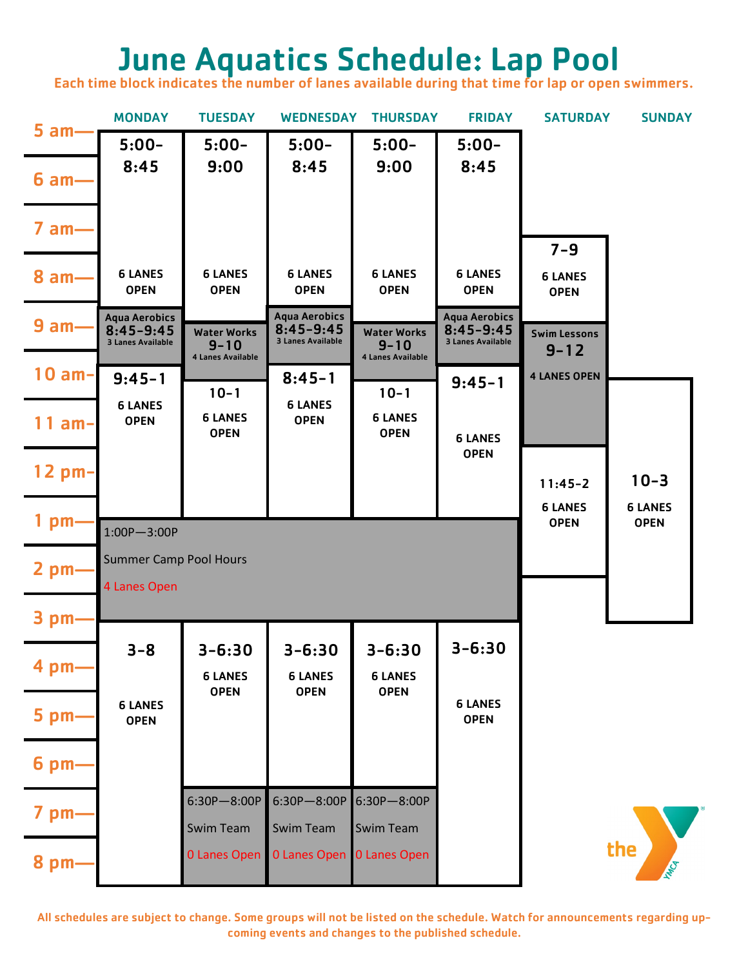## June Aquatics Schedule: Lap Pool

Each time block indicates the number of lanes available during that time for lap or open swimmers.

|                 | <b>MONDAY</b>                                                     | <b>TUESDAY</b>                                      | <b>WEDNESDAY</b>                                                  | <b>THURSDAY</b>                                     | <b>FRIDAY</b>                                                     | <b>SATURDAY</b>                 | <b>SUNDAY</b>                 |  |
|-----------------|-------------------------------------------------------------------|-----------------------------------------------------|-------------------------------------------------------------------|-----------------------------------------------------|-------------------------------------------------------------------|---------------------------------|-------------------------------|--|
| $5$ am-         | $5:00-$                                                           | $5:00-$                                             | $5:00-$                                                           | $5:00-$                                             | $5:00-$                                                           |                                 |                               |  |
| $6 am-$         | 8:45                                                              | 9:00                                                | 8:45                                                              | 9:00                                                | 8:45                                                              |                                 |                               |  |
| $7$ am $-$      |                                                                   |                                                     |                                                                   |                                                     |                                                                   | $7 - 9$                         |                               |  |
| $8 am-$         | <b>6 LANES</b><br><b>OPEN</b>                                     | <b>6 LANES</b><br><b>OPEN</b>                       | <b>6 LANES</b><br><b>OPEN</b>                                     | <b>6 LANES</b><br><b>OPEN</b>                       | <b>6 LANES</b><br><b>OPEN</b>                                     | <b>6 LANES</b><br><b>OPEN</b>   |                               |  |
| 9 am-           | <b>Aqua Aerobics</b><br>$8:45 - 9:45$<br><b>3 Lanes Available</b> | <b>Water Works</b><br>$9 - 10$<br>4 Lanes Available | <b>Aqua Aerobics</b><br>$8:45 - 9:45$<br><b>3 Lanes Available</b> | <b>Water Works</b><br>$9 - 10$<br>4 Lanes Available | <b>Aqua Aerobics</b><br>$8:45 - 9:45$<br><b>3 Lanes Available</b> | <b>Swim Lessons</b><br>$9 - 12$ |                               |  |
| $10 am-$        | $9:45 - 1$                                                        | $10 - 1$                                            | $8:45 - 1$                                                        | $10 - 1$                                            | $9:45 - 1$                                                        | <b>4 LANES OPEN</b>             |                               |  |
| $11$ am-        | <b>6 LANES</b><br><b>OPEN</b>                                     | <b>6 LANES</b><br><b>OPEN</b>                       | <b>6 LANES</b><br><b>OPEN</b>                                     | <b>6 LANES</b><br><b>OPEN</b>                       | <b>6 LANES</b>                                                    |                                 |                               |  |
| $12$ pm-        |                                                                   |                                                     |                                                                   |                                                     | <b>OPEN</b>                                                       | $11:45 - 2$                     | $10 - 3$                      |  |
| 1 pm            | $1:00P - 3:00P$                                                   |                                                     |                                                                   |                                                     |                                                                   | <b>6 LANES</b><br><b>OPEN</b>   | <b>6 LANES</b><br><b>OPEN</b> |  |
| $2$ pm $-$      | <b>Summer Camp Pool Hours</b><br>4 Lanes Open                     |                                                     |                                                                   |                                                     |                                                                   |                                 |                               |  |
| 3 pm            |                                                                   |                                                     |                                                                   |                                                     |                                                                   |                                 |                               |  |
| 4 pm-           | $3 - 8$                                                           | $3 - 6:30$<br><b>6 LANES</b>                        | $3 - 6:30$<br><b>6 LANES</b>                                      | $3 - 6:30$<br><b>6 LANES</b>                        | $3 - 6:30$                                                        |                                 |                               |  |
| $5$ pm $-$      | <b>6 LANES</b><br><b>OPEN</b>                                     | <b>OPEN</b>                                         | <b>OPEN</b>                                                       | <b>OPEN</b>                                         | <b>6 LANES</b><br><b>OPEN</b>                                     |                                 |                               |  |
| 6 <sub>pm</sub> |                                                                   |                                                     |                                                                   |                                                     |                                                                   |                                 |                               |  |
| 7 pm-           |                                                                   | $6:30P - 8:00P$<br><b>Swim Team</b>                 | 6:30P-8:00P 6:30P-8:00P<br><b>Swim Team</b>                       | <b>Swim Team</b>                                    |                                                                   |                                 |                               |  |
| 8 pm-           |                                                                   | 0 Lanes Open                                        | 0 Lanes Open 0 Lanes Open                                         |                                                     |                                                                   |                                 | the                           |  |

All schedules are subject to change. Some groups will not be listed on the schedule. Watch for announcements regarding upcoming events and changes to the published schedule.